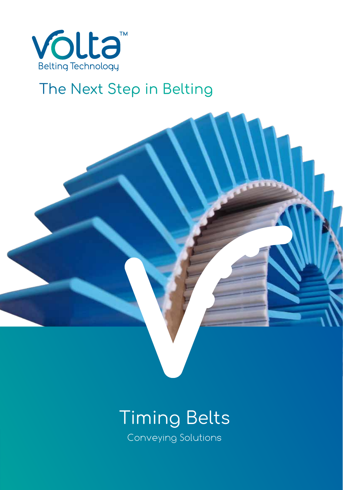

# The Next Step in Belting



# Conveying Solutions Conveying Solutions Timing Belts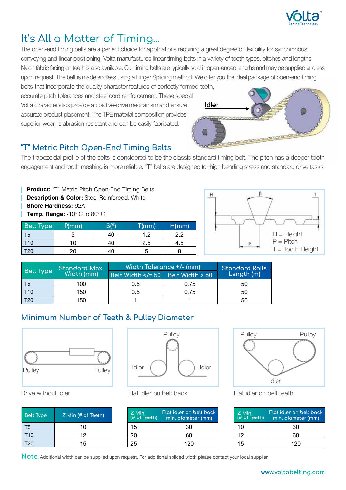

## It's All a Matter of Timing...

The open-end timing belts are a perfect choice for applications requiring a great degree of flexibility for synchronous conveying and linear positioning. Volta manufactures linear timing belts in a variety of tooth types, pitches and lengths. Nylon fabric facing on teeth is also available. Our timing belts are typically sold in open-ended lengths and may be supplied endless upon request. The belt is made endless using a Finger Splicing method. We offer you the ideal package of open-end timing

belts that incorporate the quality character features of perfectly formed teeth, accurate pitch tolerances and steel cord reinforcement. These special Volta characteristics provide a positive-drive mechanism and ensure accurate product placement. The TPE material composition provides superior wear, is abrasion resistant and can be easily fabricated.



### **"T" Metric Pitch Open-End Timing Belts**

The trapezoidal profile of the belts is considered to be the classic standard timing belt. The pitch has a deeper tooth engagement and tooth meshing is more reliable. "T" belts are designed for high bending stress and standard drive tasks.

**| Product:** "T" Metric Pitch Open-End Timing Belts **Description & Color:** Steel Reinforced, White **| Shore Hardness:** 92A **| Temp. Range:** -10º C to 80º C

| <b>Belt Type</b> | P/mm | וסו בו | $T$ (mm) | H/mm |
|------------------|------|--------|----------|------|
| T5               |      | 40     | 1 2      | 2.2  |
| T10              | 10   | 40     | 2.5      | 4.5  |
| <b>T20</b>       | 20   | 40     |          |      |



|           | Standard Max. | <u>Width</u> Tolerance +/- (mm) | <b>Standard Rolls</b> |            |
|-----------|---------------|---------------------------------|-----------------------|------------|
| Belt Type | Width (mm)    | Belt Width = 50 Belt Width 50   |                       | Length (m) |
| T5        | 100           | 0.5                             | 0.75                  | 50         |
| T10       | 150           | 0.5                             | 0.75                  | 50         |
| T20       | 150           |                                 |                       | 50         |

### **Minimum Number of Teeth & Pulley Diameter**



| Belt Type       | Z Min (# of Teeth) |
|-----------------|--------------------|
| T5              | 10                 |
| T <sub>10</sub> | 12                 |
| T <sub>20</sub> | 15                 |



| Z Min<br>(# of Teeth) | Flat idler on belt back<br>min. diameter (mm) |  |
|-----------------------|-----------------------------------------------|--|
| 15                    | 30                                            |  |
| 20                    | 60                                            |  |
| 25                    | 120                                           |  |



Drive without idler Flat idler on belt back Flat idler on belt teeth

| Z Min<br>$\overline{H}$ of Teeth) | Flat idler on belt back<br>min. diameter (mm) |  |
|-----------------------------------|-----------------------------------------------|--|
| 10                                | 30.                                           |  |
| 12                                | ഭറ                                            |  |
| 15                                | 120                                           |  |

**Note:** Additional width can be supplied upon request. For additional spliced width please contact your local supplier.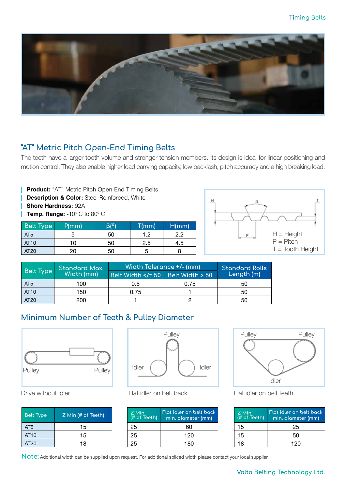

#### **"AT" Metric Pitch Open-End Timing Belts**

The teeth have a larger tooth volume and stronger tension members. Its design is ideal for linear positioning and motion control. They also enable higher load carrying capacity, low backlash, pitch accuracy and a high breaking load.

**| Product:** "AT" Metric Pitch Open-End Timing Belts **| Description & Color:** Steel Reinforced, White **| Shore Hardness:** 92A **| Temp. Range:** -10º C to 80º C

| <b>Belt Type</b> | P/mm | ۱۹/۹ | T/mm | H/mm |
|------------------|------|------|------|------|
| AT <sub>5</sub>  | э    | 50   | 1 つ  | 2.2  |
| AT <sub>10</sub> | 10   | 50   | 2.5  | 4.5  |
| AT20             | 20   | 50   | G    |      |



|                         | Standard Max. | Width Tolerance +/- (mm)      | <b>Standard Rolls</b><br>Length (m) |    |
|-------------------------|---------------|-------------------------------|-------------------------------------|----|
| Belt Type<br>Width (mm) |               | Belt Width = 50 Belt Width 50 |                                     |    |
| AT <sub>5</sub>         | 100           | 0.5                           | 0.75                                | 50 |
| AT <sub>10</sub>        | 150           | 0.75                          |                                     | 50 |
| AT20                    | 200           |                               |                                     | 50 |

#### **Minimum Number of Teeth & Pulley Diameter**



| <b>Belt Type</b> | Z Min (# of Teeth) |
|------------------|--------------------|
| AT <sub>5</sub>  | 15                 |
| AT <sub>10</sub> | 15                 |
| AT20             | 18                 |



| Z Min<br>(# of Teeth) | Flat idler on belt back<br>min. diameter (mm) |
|-----------------------|-----------------------------------------------|
| 25                    | 60                                            |
| 25                    | 120                                           |
| 25                    | 180                                           |



Drive without idler Flat idler on belt back Flat idler on belt teeth

| Z Min<br>$\overline{H}$ of Teeth) | Flat idler on belt back<br>min. diameter (mm) |  |
|-----------------------------------|-----------------------------------------------|--|
| 15                                | 25                                            |  |
| 15                                | 50                                            |  |
| 18                                | 120                                           |  |

**Note:** Additional width can be supplied upon request. For additional spliced width please contact your local supplier.

#### **Volta Belting Technology Ltd.**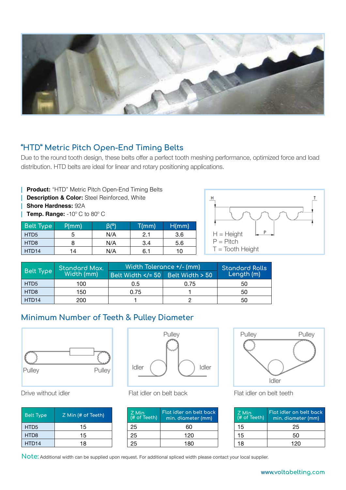

#### **"HTD" Metric Pitch Open-End Timing Belts**

Due to the round tooth design, these belts offer a perfect tooth meshing performance, optimized force and load distribution. HTD belts are ideal for linear and rotary positioning applications.

**| Product:** "HTD" Metric Pitch Open-End Timing Belts **| Description & Color:** Steel Reinforced, White **| Shore Hardness:** 92A **| Temp. Range:** -10º C to 80º C

| <b>Belt Type</b>  | P(mm) | (Br | T(mm) | H/mm |
|-------------------|-------|-----|-------|------|
| HTD <sub>5</sub>  | 5     | N/A | 2.1   | 3.6  |
| HTD <sub>8</sub>  | 8     | N/A | 3.4   | 5.6  |
| HTD <sub>14</sub> | 14    | N/A | 6.1   | 10   |



|                         | Standard Max. | Width Tolerance +/- (mm)              | <b>Standard Rolls</b><br>Length (m) |    |
|-------------------------|---------------|---------------------------------------|-------------------------------------|----|
| Belt Type<br>Width (mm) |               | Belt Width $\lt/= 50$ Belt Width > 50 |                                     |    |
| HTD <sub>5</sub>        | 100           | 0.5                                   | 0.75                                | 50 |
| HTD <sub>8</sub>        | 150           | 0.75                                  |                                     | 50 |
| HTD <sub>14</sub>       | 200           |                                       |                                     | 50 |

#### **Minimum Number of Teeth & Pulley Diameter**



| <u>Belt Type</u>  | Z Min (# of Teeth) |
|-------------------|--------------------|
| HTD <sub>5</sub>  | 15                 |
| HTD <sub>8</sub>  | 15                 |
| HTD <sub>14</sub> | 18                 |



| Z Min<br>(# of Teeth) | Flat idler on belt back<br>min. diameter (mm) |
|-----------------------|-----------------------------------------------|
| 25                    | 60                                            |
| 25                    | 120                                           |
| 25                    | 180                                           |



Drive without idler Flat idler on belt back Flat idler on belt teeth

| $Z$ Min<br>$\overline{H}$ of Teeth) | Flat idler on belt back<br>min. diameter (mm) |
|-------------------------------------|-----------------------------------------------|
| 15                                  | 25                                            |
| 15                                  | 50                                            |
| 18                                  | 120                                           |

**Note:** Additional width can be supplied upon request. For additional spliced width please contact your local supplier.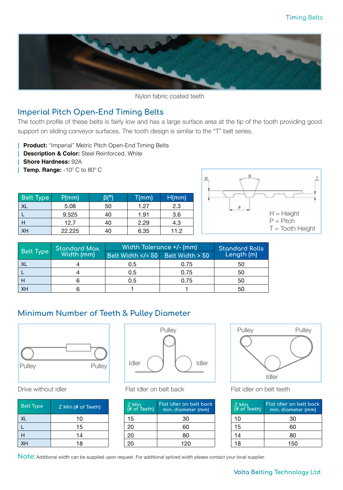

Nylon fabric coated teeth

#### **Imperial Pitch Open-End Timing Belts**

The tooth profile of these belts is fairly low and has a large surface area at the tip of the tooth providing good support on sliding conveyor surfaces. The tooth design is similar to the "T" belt series.

**| Product:** "Imperial" Metric Pitch Open-End Timing Belts

- **| Description & Color:** Steel Reinforced, White
- **| Shore Hardness:** 92A
- **| Temp. Range:** -10º C to 80º C

| <b>Belt Type</b> | P/mm   | Bľ°) | T(mm) | H/mm |
|------------------|--------|------|-------|------|
| XL               | 5.08   | 50   | 1.27  | 2.3  |
|                  | 9.525  | 40   | 1.91  | 3.6  |
| Н                | 12.7   | 40   | 2.29  | 4.3  |
| <b>XH</b>        | 22.225 | 40   | 6.35  | 11.2 |



| <b>Belt Type</b> | <b>Standard Max.</b><br>Width (mm) | Width Tolerance +/- (mm)      | <b>Standard Rolls</b> |            |
|------------------|------------------------------------|-------------------------------|-----------------------|------------|
|                  |                                    | Belt Width = 50 Belt Width 50 |                       | Length (m) |
| <b>XL</b>        |                                    | 0.5                           | 0.75                  | 50         |
|                  |                                    | 0.5                           | 0.75                  | 50         |
|                  |                                    | 0.5                           | 0.75                  | 50         |
| <b>XH</b>        |                                    |                               |                       | 50         |

### **Minimum Number of Teeth & Pulley Diameter**



| <b>Belt Type</b> | Z Min (# of Teeth) |
|------------------|--------------------|
| <b>XL</b>        | 10                 |
|                  | 15                 |
| н                | 14                 |
| XH               | 18                 |



Drive without idler Flat idler on belt back Flat idler on belt teeth

| Z Min<br>$H$ of Teeth) | Flot idler on belt bock<br>min. diameter (mm) |
|------------------------|-----------------------------------------------|
| 15                     | 30                                            |
| 20                     | 60                                            |
| 20                     | 80                                            |
| 20                     | 120                                           |



| Z Min<br>$\overline{H}$ of Teeth) | Flat idler on belt back<br>min. diameter (mm) |
|-----------------------------------|-----------------------------------------------|
| 10                                | 30                                            |
| 15                                | 60                                            |
| 14                                | 80                                            |
| 18                                | 150                                           |

**Note:** Additional width can be supplied upon request. For additional spliced width please contact your local supplier.